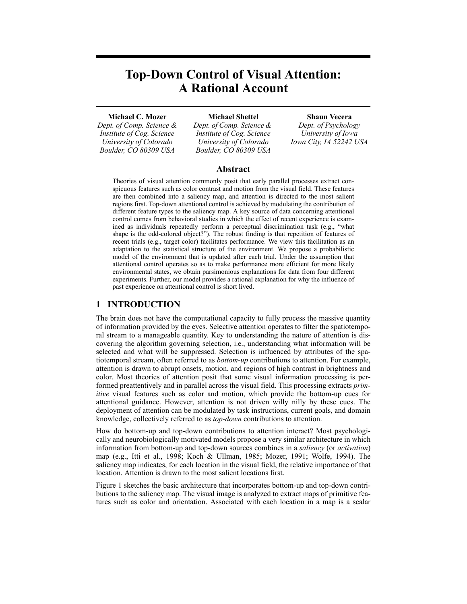# **Top-Down Control of Visual Attention: A Rational Account**

### **Michael C. Mozer Michael Shettel Shaun Vecera**

*Institute of Cog. Science Institute of Cog. Science University of Iowa University of Colorado University of Colorado Iowa City, IA 52242 USA Boulder, CO 80309 USA Boulder, CO 80309 USA*

*Dept. of Comp. Science & Dept. of Comp. Science & Dept. of Psychology*

# **Abstract**

Theories of visual attention commonly posit that early parallel processes extract conspicuous features such as color contrast and motion from the visual field. These features are then combined into a saliency map, and attention is directed to the most salient regions first. Top-down attentional control is achieved by modulating the contribution of different feature types to the saliency map. A key source of data concerning attentional control comes from behavioral studies in which the effect of recent experience is examined as individuals repeatedly perform a perceptual discrimination task (e.g., "what shape is the odd-colored object?"). The robust finding is that repetition of features of recent trials (e.g., target color) facilitates performance. We view this facilitation as an adaptation to the statistical structure of the environment. We propose a probabilistic model of the environment that is updated after each trial. Under the assumption that attentional control operates so as to make performance more efficient for more likely environmental states, we obtain parsimonious explanations for data from four different experiments. Further, our model provides a rational explanation for why the influence of past experience on attentional control is short lived.

# **1 INTRODUCTION**

The brain does not have the computational capacity to fully process the massive quantity of information provided by the eyes. Selective attention operates to filter the spatiotemporal stream to a manageable quantity. Key to understanding the nature of attention is discovering the algorithm governing selection, i.e., understanding what information will be selected and what will be suppressed. Selection is influenced by attributes of the spatiotemporal stream, often referred to as *bottom-up* contributions to attention. For example, attention is drawn to abrupt onsets, motion, and regions of high contrast in brightness and color. Most theories of attention posit that some visual information processing is performed preattentively and in parallel across the visual field. This processing extracts *primitive* visual features such as color and motion, which provide the bottom-up cues for attentional guidance. However, attention is not driven willy nilly by these cues. The deployment of attention can be modulated by task instructions, current goals, and domain knowledge, collectively referred to as *top-down* contributions to attention.

How do bottom-up and top-down contributions to attention interact? Most psychologically and neurobiologically motivated models propose a very similar architecture in which information from bottom-up and top-down sources combines in a *saliency* (or *activation*) map (e.g., Itti et al., 1998; Koch & Ullman, 1985; Mozer, 1991; Wolfe, 1994). The saliency map indicates, for each location in the visual field, the relative importance of that location. Attention is drawn to the most salient locations first.

Figure 1 sketches the basic architecture that incorporates bottom-up and top-down contributions to the saliency map. The visual image is analyzed to extract maps of primitive features such as color and orientation. Associated with each location in a map is a scalar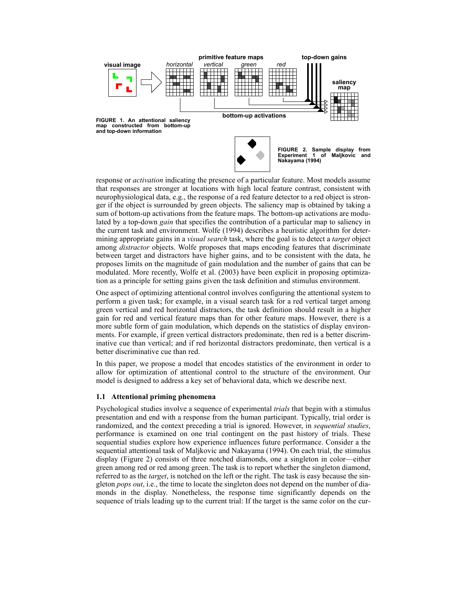

response or *activation* indicating the presence of a particular feature. Most models assume that responses are stronger at locations with high local feature contrast, consistent with neurophysiological data, e.g., the response of a red feature detector to a red object is stronger if the object is surrounded by green objects. The saliency map is obtained by taking a sum of bottom-up activations from the feature maps. The bottom-up activations are modulated by a top-down *gain* that specifies the contribution of a particular map to saliency in the current task and environment. Wolfe (1994) describes a heuristic algorithm for determining appropriate gains in a *visual search* task, where the goal is to detect a *target* object among *distractor* objects. Wolfe proposes that maps encoding features that discriminate between target and distractors have higher gains, and to be consistent with the data, he proposes limits on the magnitude of gain modulation and the number of gains that can be modulated. More recently, Wolfe et al. (2003) have been explicit in proposing optimization as a principle for setting gains given the task definition and stimulus environment.

One aspect of optimizing attentional control involves configuring the attentional system to perform a given task; for example, in a visual search task for a red vertical target among green vertical and red horizontal distractors, the task definition should result in a higher gain for red and vertical feature maps than for other feature maps. However, there is a more subtle form of gain modulation, which depends on the statistics of display environments. For example, if green vertical distractors predominate, then red is a better discriminative cue than vertical; and if red horizontal distractors predominate, then vertical is a better discriminative cue than red.

In this paper, we propose a model that encodes statistics of the environment in order to allow for optimization of attentional control to the structure of the environment. Our model is designed to address a key set of behavioral data, which we describe next.

### **1.1 Attentional priming phenomena**

Psychological studies involve a sequence of experimental *trials* that begin with a stimulus presentation and end with a response from the human participant. Typically, trial order is randomized, and the context preceding a trial is ignored. However, in *sequential studies*, performance is examined on one trial contingent on the past history of trials. These sequential studies explore how experience influences future performance. Consider a the sequential attentional task of Maljkovic and Nakayama (1994). On each trial, the stimulus display (Figure 2) consists of three notched diamonds, one a singleton in color—either green among red or red among green. The task is to report whether the singleton diamond, referred to as the *target*, is notched on the left or the right. The task is easy because the singleton *pops out*, i.e., the time to locate the singleton does not depend on the number of diamonds in the display. Nonetheless, the response time significantly depends on the sequence of trials leading up to the current trial: If the target is the same color on the cur-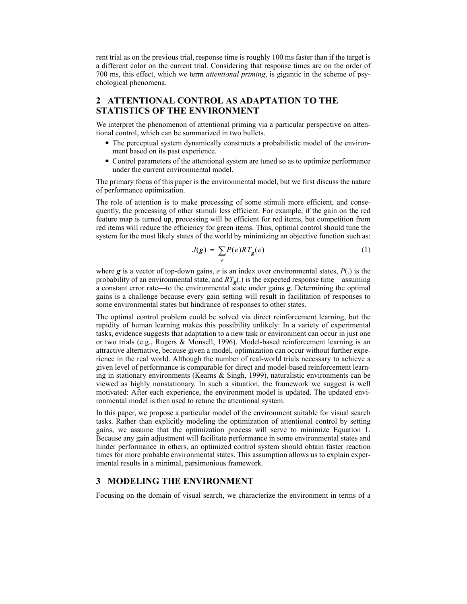rent trial as on the previous trial, response time is roughly 100 ms faster than if the target is a different color on the current trial. Considering that response times are on the order of 700 ms, this effect, which we term *attentional priming*, is gigantic in the scheme of psychological phenomena.

# **2 ATTENTIONAL CONTROL AS ADAPTATION TO THE STATISTICS OF THE ENVIRONMENT**

We interpret the phenomenon of attentional priming via a particular perspective on attentional control, which can be summarized in two bullets.

- The perceptual system dynamically constructs a probabilistic model of the environment based on its past experience.
- **•** Control parameters of the attentional system are tuned so as to optimize performance under the current environmental model.

The primary focus of this paper is the environmental model, but we first discuss the nature of performance optimization.

The role of attention is to make processing of some stimuli more efficient, and consequently, the processing of other stimuli less efficient. For example, if the gain on the red feature map is turned up, processing will be efficient for red items, but competition from red items will reduce the efficiency for green items. Thus, optimal control should tune the system for the most likely states of the world by minimizing an objective function such as:

$$
J(g) = \sum_{e} P(e)RT_g(e) \tag{1}
$$

where  $g$  is a vector of top-down gains,  $e$  is an index over environmental states,  $P(.)$  is the probability of an environmental state, and *RTg*(.) is the expected response time—assuming a constant error rate—to the environmental state under gains *g*. Determining the optimal gains is a challenge because every gain setting will result in facilitation of responses to some environmental states but hindrance of responses to other states.

The optimal control problem could be solved via direct reinforcement learning, but the rapidity of human learning makes this possibility unlikely: In a variety of experimental tasks, evidence suggests that adaptation to a new task or environment can occur in just one or two trials (e.g., Rogers & Monsell, 1996). Model-based reinforcement learning is an attractive alternative, because given a model, optimization can occur without further experience in the real world. Although the number of real-world trials necessary to achieve a given level of performance is comparable for direct and model-based reinforcement learning in stationary environments (Kearns & Singh, 1999), naturalistic environments can be viewed as highly nonstationary. In such a situation, the framework we suggest is well motivated: After each experience, the environment model is updated. The updated environmental model is then used to retune the attentional system.

In this paper, we propose a particular model of the environment suitable for visual search tasks. Rather than explicitly modeling the optimization of attentional control by setting gains, we assume that the optimization process will serve to minimize Equation 1. Because any gain adjustment will facilitate performance in some environmental states and hinder performance in others, an optimized control system should obtain faster reaction times for more probable environmental states. This assumption allows us to explain experimental results in a minimal, parsimonious framework.

# **3 MODELING THE ENVIRONMENT**

Focusing on the domain of visual search, we characterize the environment in terms of a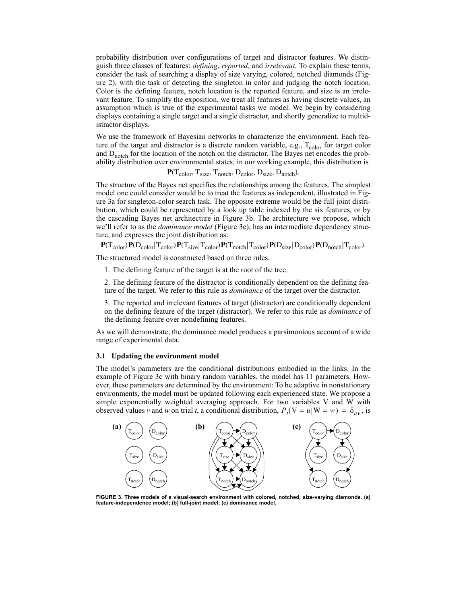probability distribution over configurations of target and distractor features. We distinguish three classes of features: *defining*, *reported,* and *irrelevant*. To explain these terms, consider the task of searching a display of size varying, colored, notched diamonds (Figure 2), with the task of detecting the singleton in color and judging the notch location. Color is the defining feature, notch location is the reported feature, and size is an irrelevant feature. To simplify the exposition, we treat all features as having discrete values, an assumption which is true of the experimental tasks we model. We begin by considering displays containing a single target and a single distractor, and shortly generalize to multidistractor displays.

We use the framework of Bayesian networks to characterize the environment. Each feature of the target and distractor is a discrete random variable, e.g.,  $T_{\text{color}}$  for target color and D<sub>notch</sub> for the location of the notch on the distractor. The Bayes net encodes the probability distribution over environmental states; in our working example, this distribution is

P(T<sub>color</sub>, T<sub>size</sub>, T<sub>notch</sub>, D<sub>color</sub>, D<sub>size</sub>, D<sub>notch</sub>).

The structure of the Bayes net specifies the relationships among the features. The simplest model one could consider would be to treat the features as independent, illustrated in Figure 3a for singleton-color search task. The opposite extreme would be the full joint distribution, which could be represented by a look up table indexed by the six features, or by the cascading Bayes net architecture in Figure 3b. The architecture we propose, which we'll refer to as the *dominance model* (Figure 3c), has an intermediate dependency structure, and expresses the joint distribution as:

 $P(T_{\text{color}})P(D_{\text{color}}|T_{\text{color}})P(T_{\text{size}}|T_{\text{color}})P(T_{\text{notch}}|T_{\text{color}})P(D_{\text{size}}|D_{\text{color}})P(D_{\text{notch}}|T_{\text{color}})$ .

The structured model is constructed based on three rules.

1. The defining feature of the target is at the root of the tree.

2. The defining feature of the distractor is conditionally dependent on the defining feature of the target. We refer to this rule as *dominance* of the target over the distractor.

3. The reported and irrelevant features of target (distractor) are conditionally dependent on the defining feature of the target (distractor). We refer to this rule as *dominance* of the defining feature over nondefining features.

As we will demonstrate, the dominance model produces a parsimonious account of a wide range of experimental data.

#### **3.1 Updating the environment model**

The model's parameters are the conditional distributions embodied in the links. In the example of Figure 3c with binary random variables, the model has 11 parameters. However, these parameters are determined by the environment: To be adaptive in nonstationary environments, the model must be updated following each experienced state. We propose a simple exponentially weighted averaging approach. For two variables V and W with observed values *v* and *w* on trial *t*, a conditional distribution,  $P_t(V = u | W = w) = \delta_{uv}$ , is



**FIGURE 3. Three models of a visual-search environment with colored, notched, size-varying diamonds. (a) feature-independence model; (b) full-joint model; (c) dominance model.**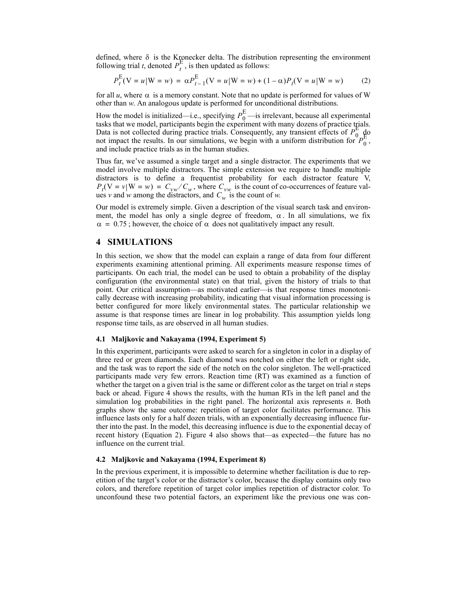defined, where  $\delta$  is the Kronecker delta. The distribution representing the environment following trial *t*, denoted  $P_t^{\text{E}}$ , is then updated as follows:

$$
P_t^{\mathcal{E}}(\mathcal{V} = u | \mathcal{W} = w) = \alpha P_{t-1}^{\mathcal{E}}(\mathcal{V} = u | \mathcal{W} = w) + (1 - \alpha) P_t(\mathcal{V} = u | \mathcal{W} = w)
$$
(2)

for all  $u$ , where  $\alpha$  is a memory constant. Note that no update is performed for values of W other than *w*. An analogous update is performed for unconditional distributions.

How the model is initialized—i.e., specifying  $P_0^{\text{L}}$ —is irrelevant, because all experimental How the model is initialized—i.e., specifying  $P_0^{\text{E}}$ —is irrelevant, because all experimental tasks that we model, participants begin the experiment with many dozens of practice trials. Data is not collected during practice trials. Consequently, any transient effects of  $P_0^{\text{L}}$  do  $P_0^{\text{L}}$ not impact the results. In our simulations, we begin with a uniform distribution for  $P_0^{\text{L}}$ , and include practice trials as in the human studies. E

Thus far, we've assumed a single target and a single distractor. The experiments that we model involve multiple distractors. The simple extension we require to handle multiple distractors is to define a frequentist probability for each distractor feature V, , where  $C_{vw}$  is the count of co-occurrences of feature val- $P_t(V = v | W = w) = C_{vw}/C_w$ , where  $C_{vw}$  is the count of *w*.<br>
wes *v* and *w* among the distractors, and  $C_w$  is the count of *w*.

Our model is extremely simple. Given a description of the visual search task and environment, the model has only a single degree of freedom,  $\alpha$ . In all simulations, we fix  $\alpha = 0.75$ ; however, the choice of  $\alpha$  does not qualitatively impact any result.

# **4 SIMULATIONS**

In this section, we show that the model can explain a range of data from four different experiments examining attentional priming. All experiments measure response times of participants. On each trial, the model can be used to obtain a probability of the display configuration (the environmental state) on that trial, given the history of trials to that point. Our critical assumption—as motivated earlier—is that response times monotonically decrease with increasing probability, indicating that visual information processing is better configured for more likely environmental states. The particular relationship we assume is that response times are linear in log probability. This assumption yields long response time tails, as are observed in all human studies.

#### **4.1 Maljkovic and Nakayama (1994, Experiment 5)**

In this experiment, participants were asked to search for a singleton in color in a display of three red or green diamonds. Each diamond was notched on either the left or right side, and the task was to report the side of the notch on the color singleton. The well-practiced participants made very few errors. Reaction time (RT) was examined as a function of whether the target on a given trial is the same or different color as the target on trial  $n$  steps back or ahead. Figure 4 shows the results, with the human RTs in the left panel and the simulation log probabilities in the right panel. The horizontal axis represents *n*. Both graphs show the same outcome: repetition of target color facilitates performance. This influence lasts only for a half dozen trials, with an exponentially decreasing influence further into the past. In the model, this decreasing influence is due to the exponential decay of recent history (Equation 2). Figure 4 also shows that—as expected—the future has no influence on the current trial.

#### **4.2 Maljkovic and Nakayama (1994, Experiment 8)**

In the previous experiment, it is impossible to determine whether facilitation is due to repetition of the target's color or the distractor's color, because the display contains only two colors, and therefore repetition of target color implies repetition of distractor color. To unconfound these two potential factors, an experiment like the previous one was con-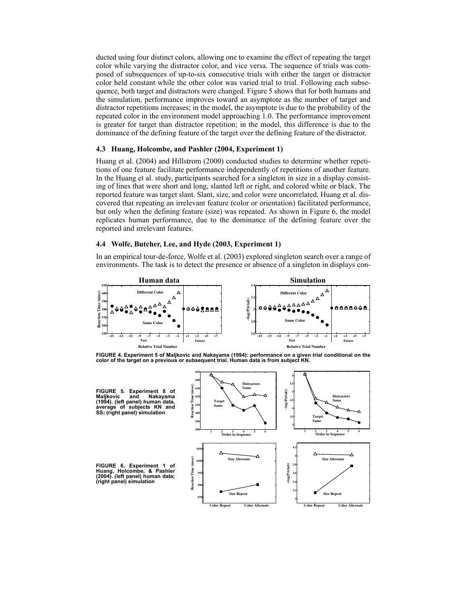ducted using four distinct colors, allowing one to examine the effect of repeating the target color while varying the distractor color, and vice versa. The sequence of trials was composed of subsequences of up-to-six consecutive trials with either the target or distractor color held constant while the other color was varied trial to trial. Following each subsequence, both target and distractors were changed. Figure 5 shows that for both humans and the simulation, performance improves toward an asymptote as the number of target and distractor repetitions increases; in the model, the asymptote is due to the probability of the repeated color in the environment model approaching 1.0. The performance improvement is greater for target than distractor repetition; in the model, this difference is due to the dominance of the defining feature of the target over the defining feature of the distractor.

#### **4.3 Huang, Holcombe, and Pashler (2004, Experiment 1)**

Huang et al. (2004) and Hillstrom (2000) conducted studies to determine whether repetitions of one feature facilitate performance independently of repetitions of another feature. In the Huang et al. study, participants searched for a singleton in size in a display consisting of lines that were short and long, slanted left or right, and colored white or black. The reported feature was target slant. Slant, size, and color were uncorrelated. Huang et al. discovered that repeating an irrelevant feature (color or orientation) facilitated performance, but only when the defining feature (size) was repeated. As shown in Figure 6, the model replicates human performance, due to the dominance of the defining feature over the reported and irrelevant features.

# **4.4 Wolfe, Butcher, Lee, and Hyde (2003, Experiment 1)**

In an empirical tour-de-force, Wolfe et al. (2003) explored singleton search over a range of environments. The task is to detect the presence or absence of a singleton in displays con-



**FIGURE 4. Experiment 5 of Maljkovic and Nakayama (1994): performance on a given trial conditional on the color of the target on a previous or subsequent trial. Human data is from subject KN.**

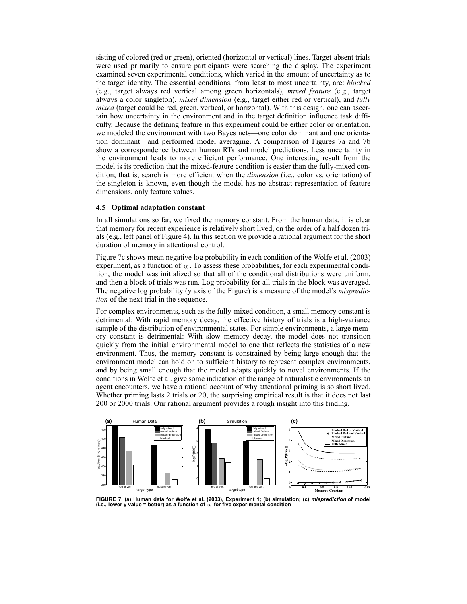sisting of colored (red or green), oriented (horizontal or vertical) lines. Target-absent trials were used primarily to ensure participants were searching the display. The experiment examined seven experimental conditions, which varied in the amount of uncertainty as to the target identity. The essential conditions, from least to most uncertainty, are: *blocked* (e.g., target always red vertical among green horizontals), *mixed feature* (e.g., target always a color singleton), *mixed dimension* (e.g., target either red or vertical), and *fully mixed* (target could be red, green, vertical, or horizontal). With this design, one can ascertain how uncertainty in the environment and in the target definition influence task difficulty. Because the defining feature in this experiment could be either color or orientation, we modeled the environment with two Bayes nets—one color dominant and one orientation dominant—and performed model averaging. A comparison of Figures 7a and 7b show a correspondence between human RTs and model predictions. Less uncertainty in the environment leads to more efficient performance. One interesting result from the model is its prediction that the mixed-feature condition is easier than the fully-mixed condition; that is, search is more efficient when the *dimension* (i.e., color vs. orientation) of the singleton is known, even though the model has no abstract representation of feature dimensions, only feature values.

#### **4.5 Optimal adaptation constant**

In all simulations so far, we fixed the memory constant. From the human data, it is clear that memory for recent experience is relatively short lived, on the order of a half dozen trials (e.g., left panel of Figure 4). In this section we provide a rational argument for the short duration of memory in attentional control.

Figure 7c shows mean negative log probability in each condition of the Wolfe et al. (2003) experiment, as a function of  $\alpha$ . To assess these probabilities, for each experimental condition, the model was initialized so that all of the conditional distributions were uniform, and then a block of trials was run. Log probability for all trials in the block was averaged. The negative log probability (y axis of the Figure) is a measure of the model's *misprediction* of the next trial in the sequence.

For complex environments, such as the fully-mixed condition, a small memory constant is detrimental: With rapid memory decay, the effective history of trials is a high-variance sample of the distribution of environmental states. For simple environments, a large memory constant is detrimental: With slow memory decay, the model does not transition quickly from the initial environmental model to one that reflects the statistics of a new environment. Thus, the memory constant is constrained by being large enough that the environment model can hold on to sufficient history to represent complex environments, and by being small enough that the model adapts quickly to novel environments. If the conditions in Wolfe et al. give some indication of the range of naturalistic environments an agent encounters, we have a rational account of why attentional priming is so short lived. Whether priming lasts 2 trials or 20, the surprising empirical result is that it does not last 200 or 2000 trials. Our rational argument provides a rough insight into this finding.



**FIGURE 7. (a) Human data for Wolfe et al. (2003), Experiment 1; (b) simulation; (c)** *misprediction* **of model** (i.e., lower y value = better) as a function of  $\alpha$  for five experimental condition